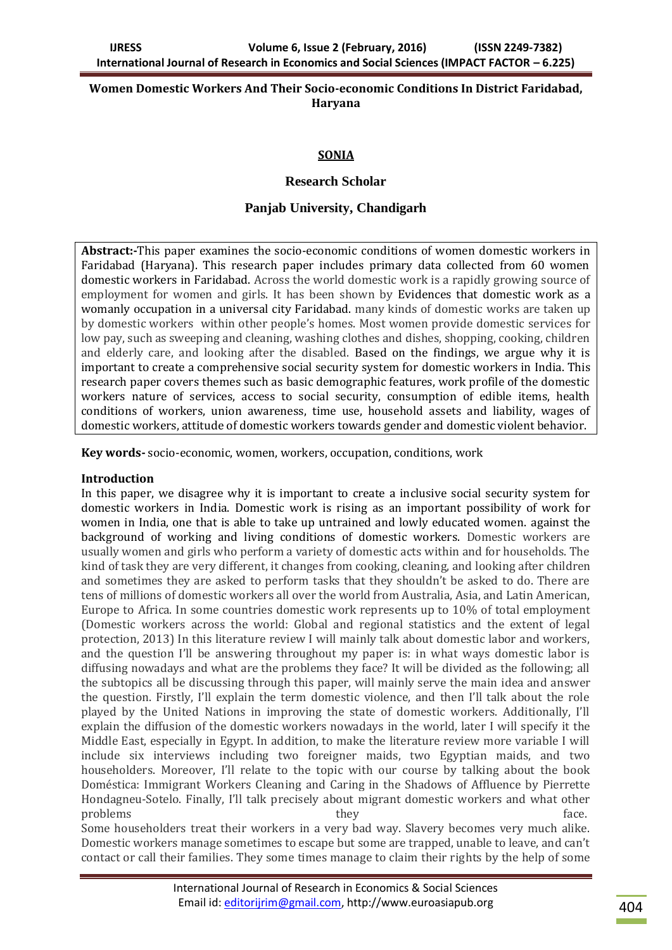## **Women Domestic Workers And Their Socio-economic Conditions In District Faridabad, Haryana**

# **SONIA**

## **Research Scholar**

# **Panjab University, Chandigarh**

**Abstract:-**This paper examines the socio-economic conditions of women domestic workers in Faridabad (Haryana). This research paper includes primary data collected from 60 women domestic workers in Faridabad. Across the world domestic work is a rapidly growing source of employment for women and girls. It has been shown by Evidences that domestic work as a womanly occupation in a universal city Faridabad. many kinds of domestic works are taken up by domestic workers within other people's homes. Most women provide domestic services for low pay, such as sweeping and cleaning, washing clothes and dishes, shopping, cooking, children and elderly care, and looking after the disabled. Based on the findings, we argue why it is important to create a comprehensive social security system for domestic workers in India. This research paper covers themes such as basic demographic features, work profile of the domestic workers nature of services, access to social security, consumption of edible items, health conditions of workers, union awareness, time use, household assets and liability, wages of domestic workers, attitude of domestic workers towards gender and domestic violent behavior.

**Key words-** socio-economic, women, workers, occupation, conditions, work

#### **Introduction**

In this paper, we disagree why it is important to create a inclusive social security system for domestic workers in India. Domestic work is rising as an important possibility of work for women in India, one that is able to take up untrained and lowly educated women. against the background of working and living conditions of domestic workers. Domestic workers are usually women and girls who perform a variety of domestic acts within and for households. The kind of task they are very different, it changes from cooking, cleaning, and looking after children and sometimes they are asked to perform tasks that they shouldn't be asked to do. There are tens of millions of domestic workers all over the world from Australia, Asia, and Latin American, Europe to Africa. In some countries domestic work represents up to 10% of total employment (Domestic workers across the world: Global and regional statistics and the extent of legal protection, 2013) In this literature review I will mainly talk about domestic labor and workers, and the question I'll be answering throughout my paper is: in what ways domestic labor is diffusing nowadays and what are the problems they face? It will be divided as the following; all the subtopics all be discussing through this paper, will mainly serve the main idea and answer the question. Firstly, I'll explain the term domestic violence, and then I'll talk about the role played by the United Nations in improving the state of domestic workers. Additionally, I'll explain the diffusion of the domestic workers nowadays in the world, later I will specify it the Middle East, especially in Egypt. In addition, to make the literature review more variable I will include six interviews including two foreigner maids, two Egyptian maids, and two householders. Moreover, I'll relate to the topic with our course by talking about the book Doméstica: Immigrant Workers Cleaning and Caring in the Shadows of Affluence by Pierrette Hondagneu-Sotelo. Finally, I'll talk precisely about migrant domestic workers and what other problems they they the state.

Some householders treat their workers in a very bad way. Slavery becomes very much alike. Domestic workers manage sometimes to escape but some are trapped, unable to leave, and can't contact or call their families. They some times manage to claim their rights by the help of some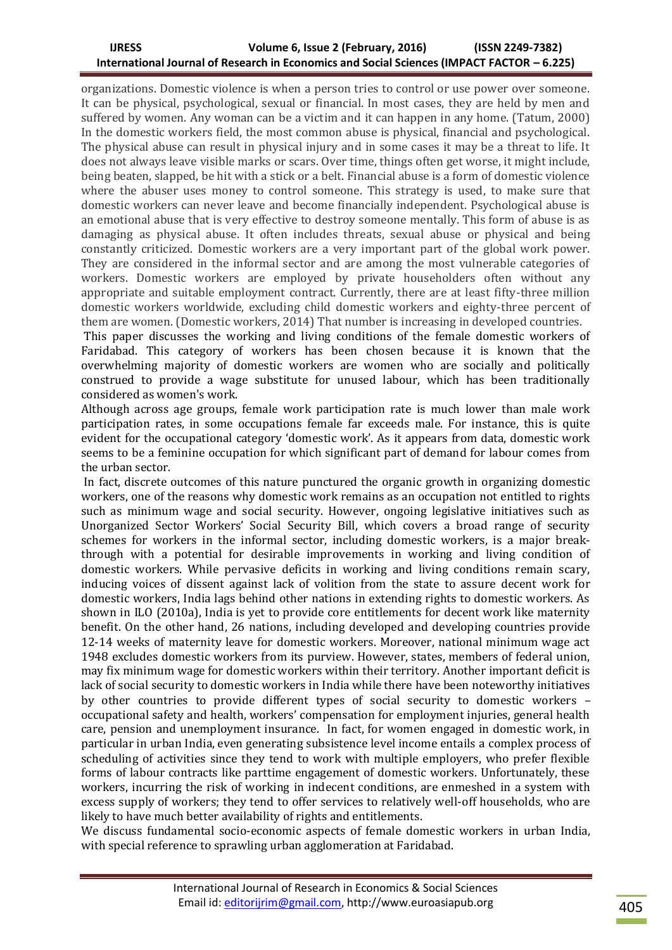organizations. Domestic violence is when a person tries to control or use power over someone. It can be physical, psychological, sexual or financial. In most cases, they are held by men and suffered by women. Any woman can be a victim and it can happen in any home. (Tatum, 2000) In the domestic workers field, the most common abuse is physical, financial and psychological. The physical abuse can result in physical injury and in some cases it may be a threat to life. It does not always leave visible marks or scars. Over time, things often get worse, it might include, being beaten, slapped, be hit with a stick or a belt. Financial abuse is a form of domestic violence where the abuser uses money to control someone. This strategy is used, to make sure that domestic workers can never leave and become financially independent. Psychological abuse is an emotional abuse that is very effective to destroy someone mentally. This form of abuse is as damaging as physical abuse. It often includes threats, sexual abuse or physical and being constantly criticized. Domestic workers are a very important part of the global work power. They are considered in the informal sector and are among the most vulnerable categories of workers. Domestic workers are employed by private householders often without any appropriate and suitable employment contract. Currently, there are at least fifty-three million domestic workers worldwide, excluding child domestic workers and eighty-three percent of them are women. (Domestic workers, 2014) That number is increasing in developed countries.

This paper discusses the working and living conditions of the female domestic workers of Faridabad. This category of workers has been chosen because it is known that the overwhelming majority of domestic workers are women who are socially and politically construed to provide a wage substitute for unused labour, which has been traditionally considered as women's work.

Although across age groups, female work participation rate is much lower than male work participation rates, in some occupations female far exceeds male. For instance, this is quite evident for the occupational category 'domestic work'. As it appears from data, domestic work seems to be a feminine occupation for which significant part of demand for labour comes from the urban sector.

In fact, discrete outcomes of this nature punctured the organic growth in organizing domestic workers, one of the reasons why domestic work remains as an occupation not entitled to rights such as minimum wage and social security. However, ongoing legislative initiatives such as Unorganized Sector Workers' Social Security Bill, which covers a broad range of security schemes for workers in the informal sector, including domestic workers, is a major breakthrough with a potential for desirable improvements in working and living condition of domestic workers. While pervasive deficits in working and living conditions remain scary, inducing voices of dissent against lack of volition from the state to assure decent work for domestic workers, India lags behind other nations in extending rights to domestic workers. As shown in ILO (2010a), India is yet to provide core entitlements for decent work like maternity benefit. On the other hand, 26 nations, including developed and developing countries provide 12-14 weeks of maternity leave for domestic workers. Moreover, national minimum wage act 1948 excludes domestic workers from its purview. However, states, members of federal union, may fix minimum wage for domestic workers within their territory. Another important deficit is lack of social security to domestic workers in India while there have been noteworthy initiatives by other countries to provide different types of social security to domestic workers – occupational safety and health, workers' compensation for employment injuries, general health care, pension and unemployment insurance. In fact, for women engaged in domestic work, in particular in urban India, even generating subsistence level income entails a complex process of scheduling of activities since they tend to work with multiple employers, who prefer flexible forms of labour contracts like parttime engagement of domestic workers. Unfortunately, these workers, incurring the risk of working in indecent conditions, are enmeshed in a system with excess supply of workers; they tend to offer services to relatively well-off households, who are likely to have much better availability of rights and entitlements.

We discuss fundamental socio-economic aspects of female domestic workers in urban India, with special reference to sprawling urban agglomeration at Faridabad.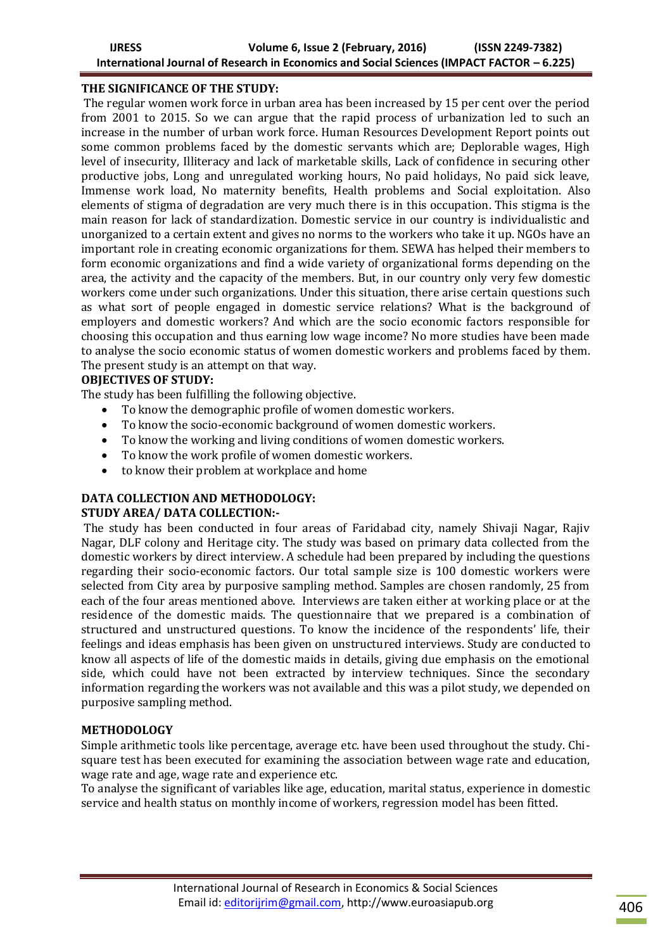### **THE SIGNIFICANCE OF THE STUDY:**

The regular women work force in urban area has been increased by 15 per cent over the period from 2001 to 2015. So we can argue that the rapid process of urbanization led to such an increase in the number of urban work force. Human Resources Development Report points out some common problems faced by the domestic servants which are; Deplorable wages, High level of insecurity, Illiteracy and lack of marketable skills, Lack of confidence in securing other productive jobs, Long and unregulated working hours, No paid holidays, No paid sick leave, Immense work load, No maternity benefits, Health problems and Social exploitation. Also elements of stigma of degradation are very much there is in this occupation. This stigma is the main reason for lack of standardization. Domestic service in our country is individualistic and unorganized to a certain extent and gives no norms to the workers who take it up. NGOs have an important role in creating economic organizations for them. SEWA has helped their members to form economic organizations and find a wide variety of organizational forms depending on the area, the activity and the capacity of the members. But, in our country only very few domestic workers come under such organizations. Under this situation, there arise certain questions such as what sort of people engaged in domestic service relations? What is the background of employers and domestic workers? And which are the socio economic factors responsible for choosing this occupation and thus earning low wage income? No more studies have been made to analyse the socio economic status of women domestic workers and problems faced by them. The present study is an attempt on that way.

# **OBJECTIVES OF STUDY:**

The study has been fulfilling the following objective.

- To know the demographic profile of women domestic workers.
- To know the socio-economic background of women domestic workers.
- To know the working and living conditions of women domestic workers.
- To know the work profile of women domestic workers.
- to know their problem at workplace and home

# **DATA COLLECTION AND METHODOLOGY:**

### **STUDY AREA/ DATA COLLECTION:-**

The study has been conducted in four areas of Faridabad city, namely Shivaji Nagar, Rajiv Nagar, DLF colony and Heritage city. The study was based on primary data collected from the domestic workers by direct interview. A schedule had been prepared by including the questions regarding their socio-economic factors. Our total sample size is 100 domestic workers were selected from City area by purposive sampling method. Samples are chosen randomly, 25 from each of the four areas mentioned above. Interviews are taken either at working place or at the residence of the domestic maids. The questionnaire that we prepared is a combination of structured and unstructured questions. To know the incidence of the respondents' life, their feelings and ideas emphasis has been given on unstructured interviews. Study are conducted to know all aspects of life of the domestic maids in details, giving due emphasis on the emotional side, which could have not been extracted by interview techniques. Since the secondary information regarding the workers was not available and this was a pilot study, we depended on purposive sampling method.

### **METHODOLOGY**

Simple arithmetic tools like percentage, average etc. have been used throughout the study. Chisquare test has been executed for examining the association between wage rate and education, wage rate and age, wage rate and experience etc.

To analyse the significant of variables like age, education, marital status, experience in domestic service and health status on monthly income of workers, regression model has been fitted.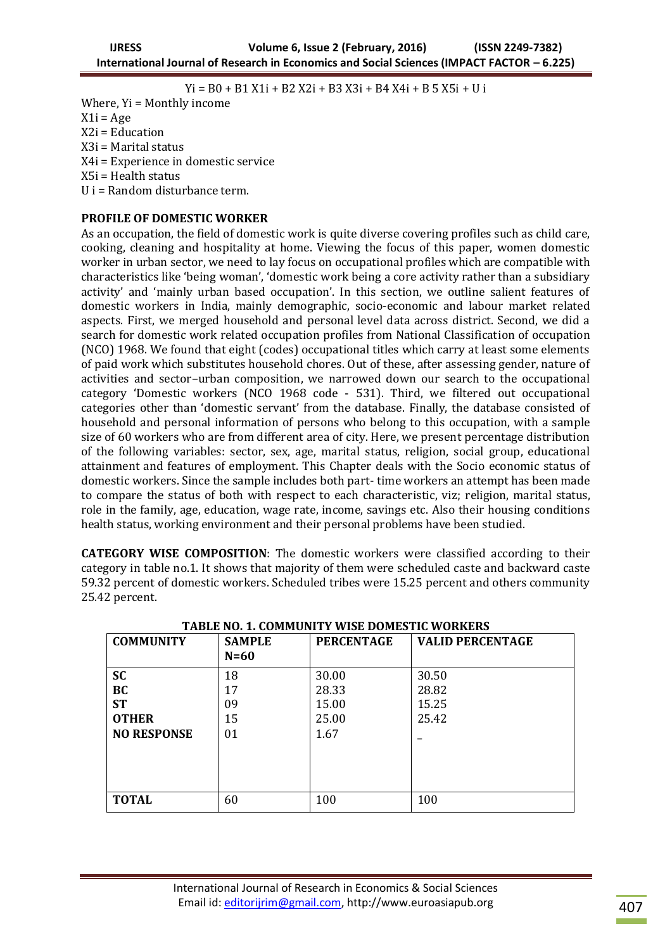Yi = B0 + B1 X1i + B2 X2i + B3 X3i + B4 X4i + B 5 X5i + U i

Where, Yi = Monthly income  $X1i = Age$ X2i = Education X3i = Marital status X4i = Experience in domestic service X5i = Health status U i = Random disturbance term.

#### **PROFILE OF DOMESTIC WORKER**

As an occupation, the field of domestic work is quite diverse covering profiles such as child care, cooking, cleaning and hospitality at home. Viewing the focus of this paper, women domestic worker in urban sector, we need to lay focus on occupational profiles which are compatible with characteristics like 'being woman', 'domestic work being a core activity rather than a subsidiary activity' and 'mainly urban based occupation'. In this section, we outline salient features of domestic workers in India, mainly demographic, socio-economic and labour market related aspects. First, we merged household and personal level data across district. Second, we did a search for domestic work related occupation profiles from National Classification of occupation (NCO) 1968. We found that eight (codes) occupational titles which carry at least some elements of paid work which substitutes household chores. Out of these, after assessing gender, nature of activities and sector–urban composition, we narrowed down our search to the occupational category 'Domestic workers (NCO 1968 code - 531). Third, we filtered out occupational categories other than 'domestic servant' from the database. Finally, the database consisted of household and personal information of persons who belong to this occupation, with a sample size of 60 workers who are from different area of city. Here, we present percentage distribution of the following variables: sector, sex, age, marital status, religion, social group, educational attainment and features of employment. This Chapter deals with the Socio economic status of domestic workers. Since the sample includes both part- time workers an attempt has been made to compare the status of both with respect to each characteristic, viz; religion, marital status, role in the family, age, education, wage rate, income, savings etc. Also their housing conditions health status, working environment and their personal problems have been studied.

**CATEGORY WISE COMPOSITION**: The domestic workers were classified according to their category in table no.1. It shows that majority of them were scheduled caste and backward caste 59.32 percent of domestic workers. Scheduled tribes were 15.25 percent and others community 25.42 percent.

| <b>COMMUNITY</b>                                                   | <b>SAMPLE</b><br>$N=60$    | <b>PERCENTAGE</b>                        | <b>VALID PERCENTAGE</b>          |
|--------------------------------------------------------------------|----------------------------|------------------------------------------|----------------------------------|
| <b>SC</b><br>BC<br><b>ST</b><br><b>OTHER</b><br><b>NO RESPONSE</b> | 18<br>17<br>09<br>15<br>01 | 30.00<br>28.33<br>15.00<br>25.00<br>1.67 | 30.50<br>28.82<br>15.25<br>25.42 |
| <b>TOTAL</b>                                                       | 60                         | 100                                      | 100                              |

**TABLE NO. 1. COMMUNITY WISE DOMESTIC WORKERS**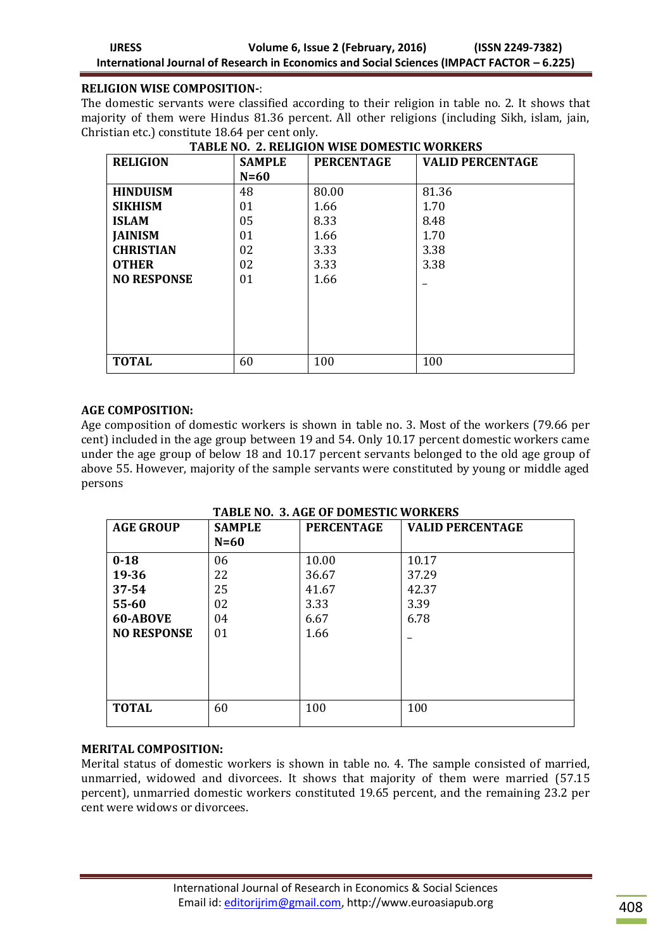### **RELIGION WISE COMPOSITION-**:

The domestic servants were classified according to their religion in table no. 2. It shows that majority of them were Hindus 81.36 percent. All other religions (including Sikh, islam, jain, Christian etc.) constitute 18.64 per cent only.

| <b>RELIGION</b>    | <b>SAMPLE</b> | <b>PERCENTAGE</b> | <b>VALID PERCENTAGE</b> |  |
|--------------------|---------------|-------------------|-------------------------|--|
|                    | $N=60$        |                   |                         |  |
| <b>HINDUISM</b>    | 48            | 80.00             | 81.36                   |  |
| <b>SIKHISM</b>     | 01            | 1.66              | 1.70                    |  |
| <b>ISLAM</b>       | 05            | 8.33              | 8.48                    |  |
| <b>JAINISM</b>     | 01            | 1.66              | 1.70                    |  |
| <b>CHRISTIAN</b>   | 02            | 3.33              | 3.38                    |  |
| <b>OTHER</b>       | 02            | 3.33              | 3.38                    |  |
| <b>NO RESPONSE</b> | 01            | 1.66              |                         |  |
|                    |               |                   |                         |  |
|                    |               |                   |                         |  |
|                    |               |                   |                         |  |
|                    |               |                   |                         |  |
|                    |               |                   |                         |  |
| <b>TOTAL</b>       | 60            | 100               | 100                     |  |

**TABLE NO. 2. RELIGION WISE DOMESTIC WORKERS**

# **AGE COMPOSITION:**

Age composition of domestic workers is shown in table no. 3. Most of the workers (79.66 per cent) included in the age group between 19 and 54. Only 10.17 percent domestic workers came under the age group of below 18 and 10.17 percent servants belonged to the old age group of above 55. However, majority of the sample servants were constituted by young or middle aged persons

**TABLE NO. 3. AGE OF DOMESTIC WORKERS**

| <b>AGE GROUP</b>   | <b>SAMPLE</b><br>$N=60$ | <b>PERCENTAGE</b> | <b>VALID PERCENTAGE</b> |
|--------------------|-------------------------|-------------------|-------------------------|
| $0 - 18$           | 06                      | 10.00             | 10.17                   |
| 19-36              | 22                      | 36.67             | 37.29                   |
| $37 - 54$          | 25                      | 41.67             | 42.37                   |
| 55-60              | 02                      | 3.33              | 3.39                    |
| 60-ABOVE           | 04                      | 6.67              | 6.78                    |
| <b>NO RESPONSE</b> | 01                      | 1.66              |                         |
| <b>TOTAL</b>       | 60                      | 100               | 100                     |

# **MERITAL COMPOSITION:**

Merital status of domestic workers is shown in table no. 4. The sample consisted of married, unmarried, widowed and divorcees. It shows that majority of them were married (57.15 percent), unmarried domestic workers constituted 19.65 percent, and the remaining 23.2 per cent were widows or divorcees.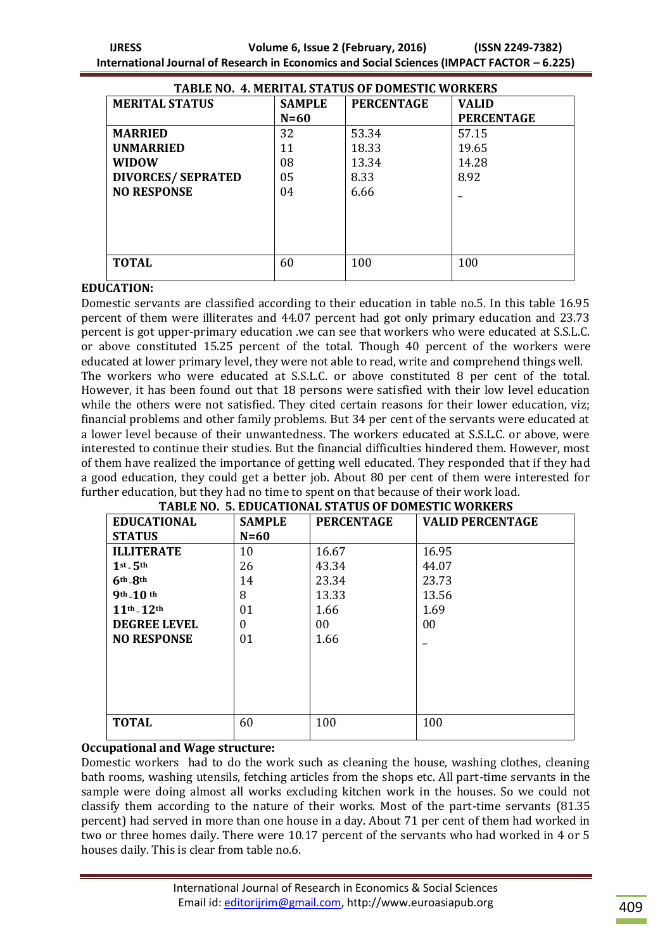| TABLE NO. 4. MERITAL STATUS OF DOMESTIC WORKERS |               |                   |                   |  |  |
|-------------------------------------------------|---------------|-------------------|-------------------|--|--|
| <b>MERITAL STATUS</b>                           | <b>SAMPLE</b> | <b>PERCENTAGE</b> | <b>VALID</b>      |  |  |
|                                                 | $N=60$        |                   | <b>PERCENTAGE</b> |  |  |
| <b>MARRIED</b>                                  | 32            | 53.34             | 57.15             |  |  |
| <b>UNMARRIED</b>                                | 11            | 18.33             | 19.65             |  |  |
| <b>WIDOW</b>                                    | 08            | 13.34             | 14.28             |  |  |
| <b>DIVORCES/ SEPRATED</b>                       | 05            | 8.33              | 8.92              |  |  |
| <b>NO RESPONSE</b>                              | 04            | 6.66              |                   |  |  |
|                                                 |               |                   |                   |  |  |
|                                                 |               |                   |                   |  |  |
|                                                 |               |                   |                   |  |  |
|                                                 |               |                   |                   |  |  |
| <b>TOTAL</b>                                    | 60            | 100               | 100               |  |  |
|                                                 |               |                   |                   |  |  |

#### **EDUCATION:**

Domestic servants are classified according to their education in table no.5. In this table 16.95 percent of them were illiterates and 44.07 percent had got only primary education and 23.73 percent is got upper-primary education .we can see that workers who were educated at S.S.L.C. or above constituted 15.25 percent of the total. Though 40 percent of the workers were educated at lower primary level, they were not able to read, write and comprehend things well. The workers who were educated at S.S.L.C. or above constituted 8 per cent of the total. However, it has been found out that 18 persons were satisfied with their low level education while the others were not satisfied. They cited certain reasons for their lower education, viz; financial problems and other family problems. But 34 per cent of the servants were educated at a lower level because of their unwantedness. The workers educated at S.S.L.C. or above, were interested to continue their studies. But the financial difficulties hindered them. However, most of them have realized the importance of getting well educated. They responded that if they had a good education, they could get a better job. About 80 per cent of them were interested for further education, but they had no time to spent on that because of their work load.

| TABLE NO. 5. EDUCATIONAL STATUS OF DOMESTIC WORKERS |               |                   |                         |  |
|-----------------------------------------------------|---------------|-------------------|-------------------------|--|
| <b>EDUCATIONAL</b>                                  | <b>SAMPLE</b> | <b>PERCENTAGE</b> | <b>VALID PERCENTAGE</b> |  |
| <b>STATUS</b>                                       | $N=60$        |                   |                         |  |
| <b>ILLITERATE</b>                                   | 10            | 16.67             | 16.95                   |  |
| $1st - 5th$                                         | 26            | 43.34             | 44.07                   |  |
| $6th$ - $8th$                                       | 14            | 23.34             | 23.73                   |  |
| $9th-10th$                                          | 8             | 13.33             | 13.56                   |  |
| $11^{th} - 12^{th}$                                 | 01            | 1.66              | 1.69                    |  |
| <b>DEGREE LEVEL</b>                                 | $\theta$      | 00                | 00                      |  |
| <b>NO RESPONSE</b>                                  | 01            | 1.66              |                         |  |
|                                                     |               |                   |                         |  |
|                                                     |               |                   |                         |  |
|                                                     |               |                   |                         |  |
|                                                     |               |                   |                         |  |
|                                                     |               |                   |                         |  |
| <b>TOTAL</b>                                        | 60            | 100               | 100                     |  |
|                                                     |               |                   |                         |  |

### **TABLE NO. 5. EDUCATIONAL STATUS OF DOMESTIC WORKERS**

#### **Occupational and Wage structure:**

Domestic workers had to do the work such as cleaning the house, washing clothes, cleaning bath rooms, washing utensils, fetching articles from the shops etc. All part-time servants in the sample were doing almost all works excluding kitchen work in the houses. So we could not classify them according to the nature of their works. Most of the part-time servants (81.35 percent) had served in more than one house in a day. About 71 per cent of them had worked in two or three homes daily. There were 10.17 percent of the servants who had worked in 4 or 5 houses daily. This is clear from table no.6.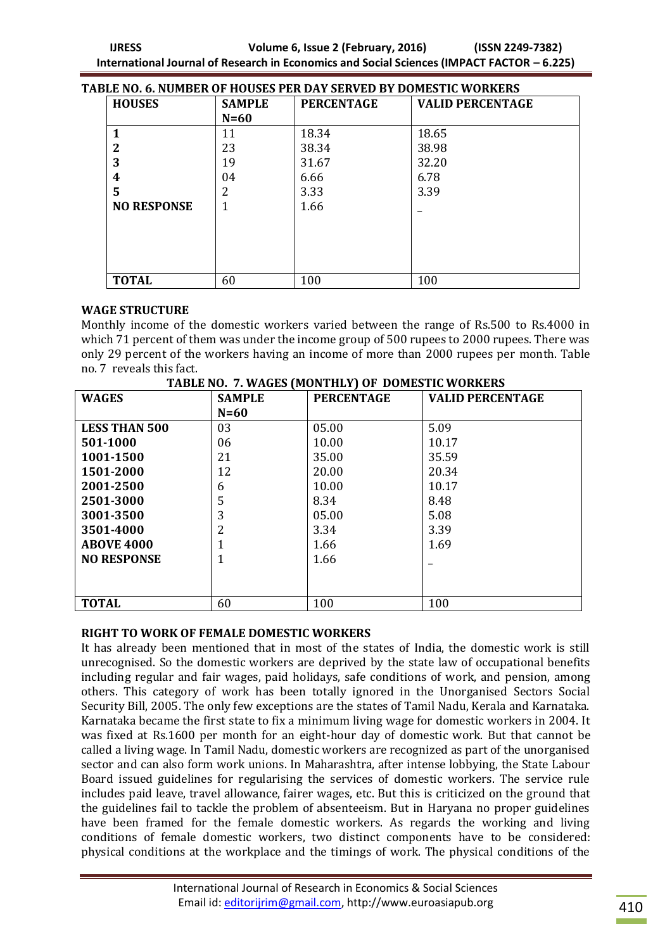| TABLE NO. 6. NUMBER OF HOUSES PER DAY SERVED BY DOMESTIC WORKERS |                    |               |                   |                         |
|------------------------------------------------------------------|--------------------|---------------|-------------------|-------------------------|
|                                                                  | <b>HOUSES</b>      | <b>SAMPLE</b> | <b>PERCENTAGE</b> | <b>VALID PERCENTAGE</b> |
|                                                                  |                    | $N=60$        |                   |                         |
|                                                                  |                    | 11            | 18.34             | 18.65                   |
|                                                                  | 2                  | 23            | 38.34             | 38.98                   |
|                                                                  | 3                  | 19            | 31.67             | 32.20                   |
|                                                                  | 4                  | 04            | 6.66              | 6.78                    |
|                                                                  | 5                  | 2             | 3.33              | 3.39                    |
|                                                                  | <b>NO RESPONSE</b> |               | 1.66              |                         |
|                                                                  |                    |               |                   |                         |
|                                                                  |                    |               |                   |                         |
|                                                                  |                    |               |                   |                         |
|                                                                  |                    |               |                   |                         |
|                                                                  | <b>TOTAL</b>       | 60            | 100               | 100                     |

#### **WAGE STRUCTURE**

Monthly income of the domestic workers varied between the range of Rs.500 to Rs.4000 in which 71 percent of them was under the income group of 500 rupees to 2000 rupees. There was only 29 percent of the workers having an income of more than 2000 rupees per month. Table no. 7 reveals this fact.

| <b>WAGES</b>         | <b>SAMPLE</b> | <b>PERCENTAGE</b> | <b>VALID PERCENTAGE</b> |
|----------------------|---------------|-------------------|-------------------------|
|                      | $N=60$        |                   |                         |
| <b>LESS THAN 500</b> | 03            | 05.00             | 5.09                    |
| 501-1000             | 06            | 10.00             | 10.17                   |
| 1001-1500            | 21            | 35.00             | 35.59                   |
| 1501-2000            | 12            | 20.00             | 20.34                   |
| 2001-2500            | 6             | 10.00             | 10.17                   |
| 2501-3000            | 5             | 8.34              | 8.48                    |
| 3001-3500            | 3             | 05.00             | 5.08                    |
| 3501-4000            | 2             | 3.34              | 3.39                    |
| <b>ABOVE 4000</b>    |               | 1.66              | 1.69                    |
| <b>NO RESPONSE</b>   |               | 1.66              |                         |
|                      |               |                   |                         |
|                      |               |                   |                         |
| <b>TOTAL</b>         | 60            | 100               | 100                     |

#### **RIGHT TO WORK OF FEMALE DOMESTIC WORKERS**

It has already been mentioned that in most of the states of India, the domestic work is still unrecognised. So the domestic workers are deprived by the state law of occupational benefits including regular and fair wages, paid holidays, safe conditions of work, and pension, among others. This category of work has been totally ignored in the Unorganised Sectors Social Security Bill, 2005. The only few exceptions are the states of Tamil Nadu, Kerala and Karnataka. Karnataka became the first state to fix a minimum living wage for domestic workers in 2004. It was fixed at Rs.1600 per month for an eight-hour day of domestic work. But that cannot be called a living wage. In Tamil Nadu, domestic workers are recognized as part of the unorganised sector and can also form work unions. In Maharashtra, after intense lobbying, the State Labour Board issued guidelines for regularising the services of domestic workers. The service rule includes paid leave, travel allowance, fairer wages, etc. But this is criticized on the ground that the guidelines fail to tackle the problem of absenteeism. But in Haryana no proper guidelines have been framed for the female domestic workers. As regards the working and living conditions of female domestic workers, two distinct components have to be considered: physical conditions at the workplace and the timings of work. The physical conditions of the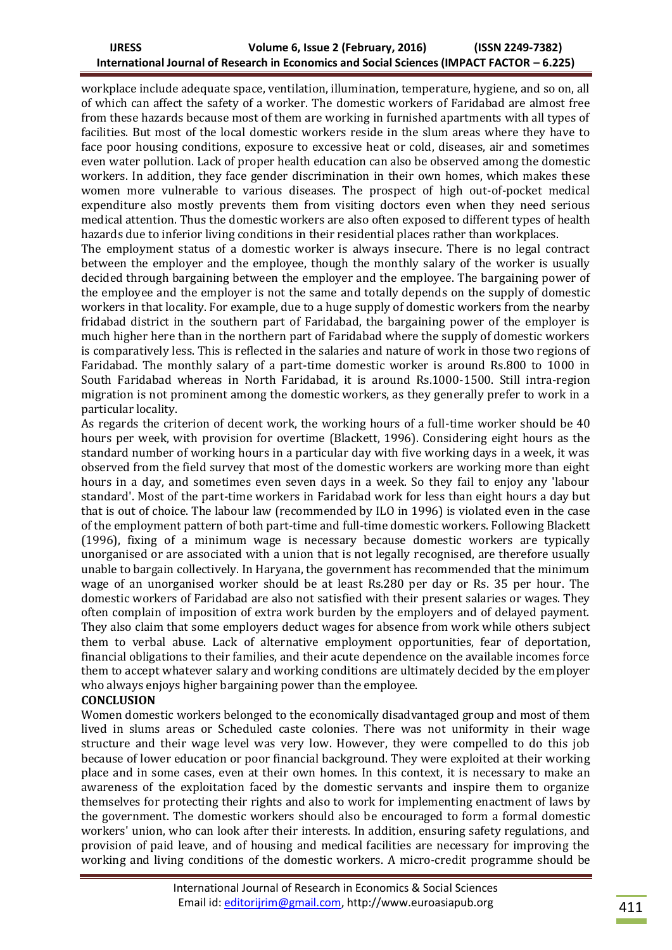workplace include adequate space, ventilation, illumination, temperature, hygiene, and so on, all of which can affect the safety of a worker. The domestic workers of Faridabad are almost free from these hazards because most of them are working in furnished apartments with all types of facilities. But most of the local domestic workers reside in the slum areas where they have to face poor housing conditions, exposure to excessive heat or cold, diseases, air and sometimes even water pollution. Lack of proper health education can also be observed among the domestic workers. In addition, they face gender discrimination in their own homes, which makes these women more vulnerable to various diseases. The prospect of high out-of-pocket medical expenditure also mostly prevents them from visiting doctors even when they need serious medical attention. Thus the domestic workers are also often exposed to different types of health hazards due to inferior living conditions in their residential places rather than workplaces.

The employment status of a domestic worker is always insecure. There is no legal contract between the employer and the employee, though the monthly salary of the worker is usually decided through bargaining between the employer and the employee. The bargaining power of the employee and the employer is not the same and totally depends on the supply of domestic workers in that locality. For example, due to a huge supply of domestic workers from the nearby fridabad district in the southern part of Faridabad, the bargaining power of the employer is much higher here than in the northern part of Faridabad where the supply of domestic workers is comparatively less. This is reflected in the salaries and nature of work in those two regions of Faridabad. The monthly salary of a part-time domestic worker is around Rs.800 to 1000 in South Faridabad whereas in North Faridabad, it is around Rs.1000-1500. Still intra-region migration is not prominent among the domestic workers, as they generally prefer to work in a particular locality.

As regards the criterion of decent work, the working hours of a full-time worker should be 40 hours per week, with provision for overtime (Blackett, 1996). Considering eight hours as the standard number of working hours in a particular day with five working days in a week, it was observed from the field survey that most of the domestic workers are working more than eight hours in a day, and sometimes even seven days in a week. So they fail to enjoy any 'labour standard'. Most of the part-time workers in Faridabad work for less than eight hours a day but that is out of choice. The labour law (recommended by ILO in 1996) is violated even in the case of the employment pattern of both part-time and full-time domestic workers. Following Blackett (1996), fixing of a minimum wage is necessary because domestic workers are typically unorganised or are associated with a union that is not legally recognised, are therefore usually unable to bargain collectively. In Haryana, the government has recommended that the minimum wage of an unorganised worker should be at least Rs.280 per day or Rs. 35 per hour. The domestic workers of Faridabad are also not satisfied with their present salaries or wages. They often complain of imposition of extra work burden by the employers and of delayed payment. They also claim that some employers deduct wages for absence from work while others subject them to verbal abuse. Lack of alternative employment opportunities, fear of deportation, financial obligations to their families, and their acute dependence on the available incomes force them to accept whatever salary and working conditions are ultimately decided by the employer who always enjoys higher bargaining power than the employee.

### **CONCLUSION**

Women domestic workers belonged to the economically disadvantaged group and most of them lived in slums areas or Scheduled caste colonies. There was not uniformity in their wage structure and their wage level was very low. However, they were compelled to do this job because of lower education or poor financial background. They were exploited at their working place and in some cases, even at their own homes. In this context, it is necessary to make an awareness of the exploitation faced by the domestic servants and inspire them to organize themselves for protecting their rights and also to work for implementing enactment of laws by the government. The domestic workers should also be encouraged to form a formal domestic workers' union, who can look after their interests. In addition, ensuring safety regulations, and provision of paid leave, and of housing and medical facilities are necessary for improving the working and living conditions of the domestic workers. A micro-credit programme should be